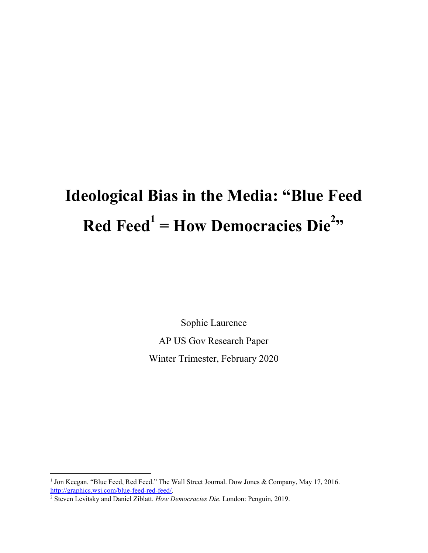# **Ideological Bias in the Media: "Blue Feed Red Feed**<sup> $1$ </sup> = **How Democracies Die**<sup>2</sup><sup>2</sup>

Sophie Laurence AP US Gov Research Paper Winter Trimester, February 2020

<sup>&</sup>lt;sup>1</sup> Jon Keegan. "Blue Feed, Red Feed." The Wall Street Journal. Dow Jones & Company, May 17, 2016. [http://graphics.wsj.com/blue-feed-red-feed/.](http://graphics.wsj.com/blue-feed-red-feed/)

<sup>2</sup> Steven Levitsky and Daniel Ziblatt. *How Democracies Die*. London: Penguin, 2019.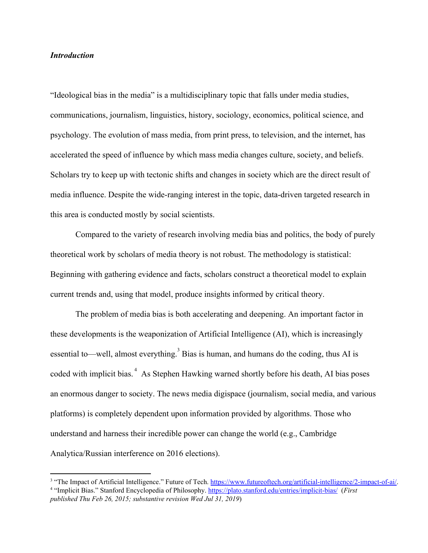## *Introduction*

"Ideological bias in the media" is a multidisciplinary topic that falls under media studies, communications, journalism, linguistics, history, sociology, economics, political science, and psychology. The evolution of mass media, from print press, to television, and the internet, has accelerated the speed of influence by which mass media changes culture, society, and beliefs. Scholars try to keep up with tectonic shifts and changes in society which are the direct result of media influence. Despite the wide-ranging interest in the topic, data-driven targeted research in this area is conducted mostly by social scientists.

Compared to the variety of research involving media bias and politics, the body of purely theoretical work by scholars of media theory is not robust. The methodology is statistical: Beginning with gathering evidence and facts, scholars construct a theoretical model to explain current trends and, using that model, produce insights informed by critical theory.

The problem of media bias is both accelerating and deepening. An important factor in these developments is the weaponization of Artificial Intelligence (AI), which is increasingly essential to—well, almost everything.<sup>3</sup> Bias is human, and humans do the coding, thus AI is coded with implicit bias.<sup>4</sup> As Stephen Hawking warned shortly before his death, AI bias poses an enormous danger to society. The news media digispace (journalism, social media, and various platforms) is completely dependent upon information provided by algorithms. Those who understand and harness their incredible power can change the world (e.g., Cambridge Analytica/Russian interference on 2016 elections).

<sup>&</sup>lt;sup>3</sup> "The Impact of Artificial Intelligence." Future of Tech. [https://www.futureoftech.org/artificial-intelligence/2-impact-of-ai/.](https://www.futureoftech.org/artificial-intelligence/2-impact-of-ai/) <sup>4</sup> "Implicit Bias." Stanford Encyclopedia of Philosophy. <https://plato.stanford.edu/entries/implicit-bias/> (*First published Thu Feb 26, 2015; substantive revision Wed Jul 31, 2019*)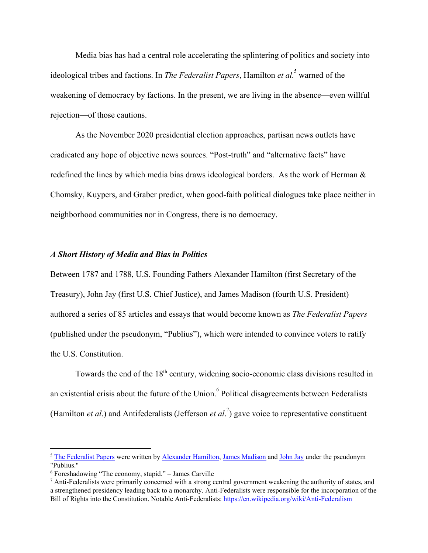Media bias has had a central role accelerating the splintering of politics and society into ideological tribes and factions. In *The Federalist Papers*, Hamilton *et al.*<sup>5</sup> warned of the weakening of democracy by factions. In the present, we are living in the absence—even willful rejection—of those cautions.

As the November 2020 presidential election approaches, partisan news outlets have eradicated any hope of objective news sources. "Post-truth" and "alternative facts" have redefined the lines by which media bias draws ideological borders. As the work of Herman & Chomsky, Kuypers, and Graber predict, when good-faith political dialogues take place neither in neighborhood communities nor in Congress, there is no democracy.

## *A Short History of Media and Bias in Politics*

Between 1787 and 1788, U.S. Founding Fathers Alexander Hamilton (first Secretary of the Treasury), John Jay (first U.S. Chief Justice), and James Madison (fourth U.S. President) authored a series of 85 articles and essays that would become known as *The Federalist Papers* (published under the pseudonym, "Publius"), which were intended to convince voters to ratify the U.S. Constitution.

Towards the end of the 18<sup>th</sup> century, widening socio-economic class divisions resulted in an existential crisis about the future of the Union.<sup>6</sup> Political disagreements between Federalists (Hamilton *et al.*) and Antifederalists (Jefferson *et al.*<sup>7</sup>) gave voice to representative constituent

<sup>&</sup>lt;sup>5</sup> The [Federalist](https://en.wikipedia.org/wiki/The_Federalist_Papers) Papers were written by [Alexander](https://en.wikipedia.org/wiki/Alexander_Hamilton) Hamilton, James [Madison](https://en.wikipedia.org/wiki/James_Madison) and [John](https://en.wikipedia.org/wiki/John_Jay) Jay under the pseudonym "Publius."

 $6$  Foreshadowing "The economy, stupid." – James Carville

 $<sup>7</sup>$  Anti-Federalists were primarily concerned with a strong central government weakening the authority of states, and</sup> a strengthened presidency leading back to a monarchy. Anti-Federalists were responsible for the incorporation of the Bill of Rights into the Constitution. Notable Anti-Federalists: <https://en.wikipedia.org/wiki/Anti-Federalism>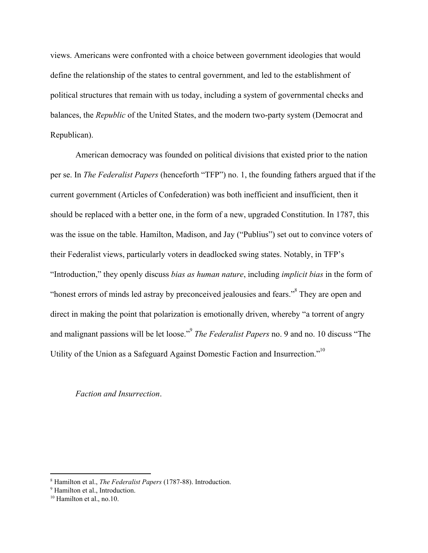views. Americans were confronted with a choice between government ideologies that would define the relationship of the states to central government, and led to the establishment of political structures that remain with us today, including a system of governmental checks and balances, the *Republic* of the United States, and the modern two-party system (Democrat and Republican).

American democracy was founded on political divisions that existed prior to the nation per se. In *The Federalist Papers* (henceforth "TFP") no. 1, the founding fathers argued that if the current government (Articles of Confederation) was both inefficient and insufficient, then it should be replaced with a better one, in the form of a new, upgraded Constitution. In 1787, this was the issue on the table. Hamilton, Madison, and Jay ("Publius") set out to convince voters of their Federalist views, particularly voters in deadlocked swing states. Notably, in TFP's "Introduction," they openly discuss *bias as human nature*, including *implicit bias* in the form of "honest errors of minds led astray by preconceived jealousies and fears."<sup>8</sup> They are open and direct in making the point that polarization is emotionally driven, whereby "a torrent of angry and malignant passions will be let loose."<sup>9</sup> The Federalist Papers no. 9 and no. 10 discuss "The Utility of the Union as a Safeguard Against Domestic Faction and Insurrection."<sup>10</sup>

## *Faction and Insurrection*.

<sup>8</sup> Hamilton et al., *The Federalist Papers* (1787-88). Introduction.

<sup>&</sup>lt;sup>9</sup> Hamilton et al., Introduction.

<sup>&</sup>lt;sup>10</sup> Hamilton et al., no.10.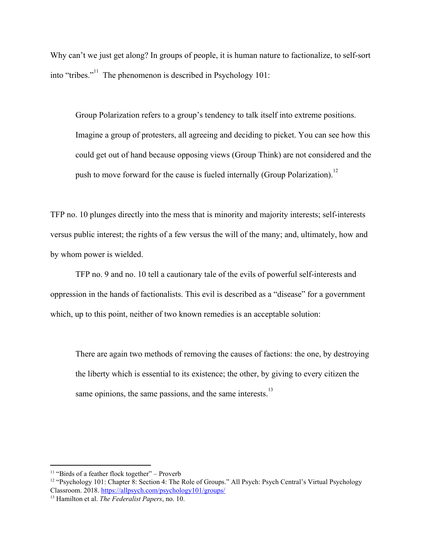Why can't we just get along? In groups of people, it is human nature to factionalize, to self-sort into "tribes."<sup> $11$ </sup> The phenomenon is described in Psychology 101:

Group Polarization refers to a group's tendency to talk itself into extreme positions. Imagine a group of protesters, all agreeing and deciding to picket. You can see how this could get out of hand because opposing views (Group Think) are not considered and the push to move forward for the cause is fueled internally (Group Polarization).<sup>12</sup>

TFP no. 10 plunges directly into the mess that is minority and majority interests; self-interests versus public interest; the rights of a few versus the will of the many; and, ultimately, how and by whom power is wielded.

TFP no. 9 and no. 10 tell a cautionary tale of the evils of powerful self-interests and oppression in the hands of factionalists. This evil is described as a "disease" for a government which, up to this point, neither of two known remedies is an acceptable solution:

There are again two methods of removing the causes of factions: the one, by destroying the liberty which is essential to its existence; the other, by giving to every citizen the same opinions, the same passions, and the same interests. $13$ 

 $11$  "Birds of a feather flock together" – Proverb

<sup>&</sup>lt;sup>12</sup> "Psychology 101: Chapter 8: Section 4: The Role of Groups." All Psych: Psych Central's Virtual Psychology Classroom. 2018. <https://allpsych.com/psychology101/groups/>

<sup>13</sup> Hamilton et al. *The Federalist Papers*, no. 10.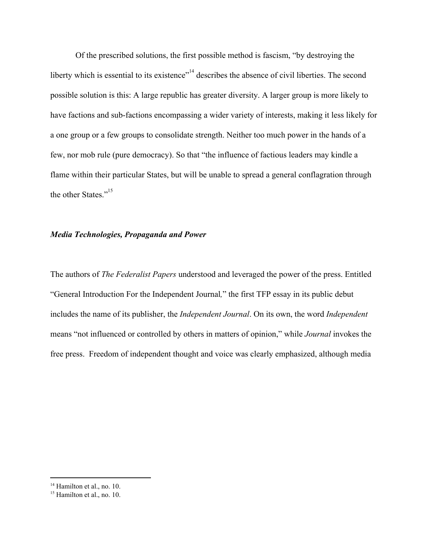Of the prescribed solutions, the first possible method is fascism, "by destroying the liberty which is essential to its existence"<sup> $14$ </sup> describes the absence of civil liberties. The second possible solution is this: A large republic has greater diversity. A larger group is more likely to have factions and sub-factions encompassing a wider variety of interests, making it less likely for a one group or a few groups to consolidate strength. Neither too much power in the hands of a few, nor mob rule (pure democracy). So that "the influence of factious leaders may kindle a flame within their particular States, but will be unable to spread a general conflagration through the other States."<sup>15</sup>

## *Media Technologies, Propaganda and Power*

The authors of *The Federalist Papers* understood and leveraged the power of the press. Entitled "General Introduction For the Independent Journal*,*" the first TFP essay in its public debut includes the name of its publisher, the *Independent Journal*. On its own, the word *Independent* means "not influenced or controlled by others in matters of opinion," while *Journal* invokes the free press. Freedom of independent thought and voice was clearly emphasized, although media

<sup>&</sup>lt;sup>14</sup> Hamilton et al., no. 10.

<sup>&</sup>lt;sup>15</sup> Hamilton et al., no. 10.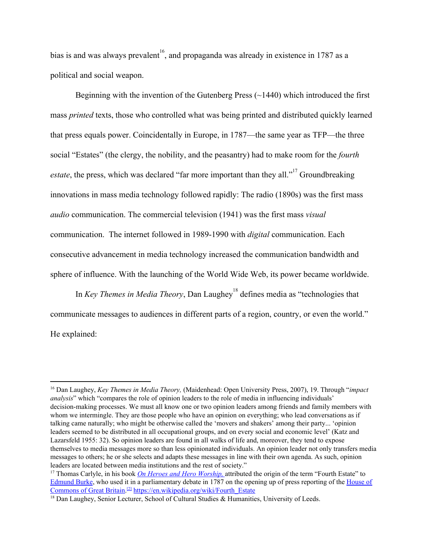bias is and was always prevalent<sup>16</sup>, and propaganda was already in existence in 1787 as a political and social weapon.

Beginning with the invention of the Gutenberg Press (~1440) which introduced the first mass *printed* texts, those who controlled what was being printed and distributed quickly learned that press equals power. Coincidentally in Europe, in 1787—the same year as TFP—the three social "Estates" (the clergy, the nobility, and the peasantry) had to make room for the *fourth estate*, the press, which was declared "far more important than they all."<sup>17</sup> Groundbreaking innovations in mass media technology followed rapidly: The radio (1890s) was the first mass *audio* communication. The commercial television (1941) was the first mass *visual* communication. The internet followed in 1989-1990 with *digital* communication. Each consecutive advancement in media technology increased the communication bandwidth and sphere of influence. With the launching of the World Wide Web, its power became worldwide.

In *Key Themes in Media Theory*, Dan Laughey<sup>18</sup> defines media as "technologies that communicate messages to audiences in different parts of a region, country, or even the world." He explained:

<sup>16</sup> Dan Laughey, *Key Themes in Media Theory,* (Maidenhead: Open University Press, 2007), 19. Through "*impact analysis*" which "compares the role of opinion leaders to the role of media in influencing individuals" decision-making processes. We must all know one or two opinion leaders among friends and family members with whom we intermingle. They are those people who have an opinion on everything; who lead conversations as if talking came naturally; who might be otherwise called the 'movers and shakers' among their party... 'opinion leaders seemed to be distributed in all occupational groups, and on every social and economic level' (Katz and Lazarsfeld 1955: 32). So opinion leaders are found in all walks of life and, moreover, they tend to expose themselves to media messages more so than less opinionated individuals. An opinion leader not only transfers media messages to others; he or she selects and adapts these messages in line with their own agenda. As such, opinion leaders are located between media institutions and the rest of society."

<sup>17</sup> Thomas Carlyle, in his book *On Heroes and Hero [Worship](https://en.wikisource.org/wiki/On_Heroes,_Hero-Worship_and_the_Heroic_in_History),* attributed the origin of the term "Fourth Estate" to [Edmund](https://en.wikipedia.org/wiki/Edmund_Burke) Burke, who used it in a parliamentary debate in 1787 on the opening up of press reporting of the [House](https://en.wikipedia.org/wiki/House_of_Commons_of_Great_Britain) of [Commons](https://en.wikipedia.org/wiki/House_of_Commons_of_Great_Britain) of Great Britain.<sup>[\[2\]](https://en.wikipedia.org/wiki/Fourth_Estate#cite_note-2)</sup> [https://en.wikipedia.org/wiki/Fourth\\_Estate](https://en.wikipedia.org/wiki/Fourth_Estate)

<sup>&</sup>lt;sup>18</sup> Dan Laughey, Senior Lecturer, School of Cultural Studies & [Humanities,](https://www.leedsbeckett.ac.uk/school-of-cultural-studies-and-humanities/) University of Leeds.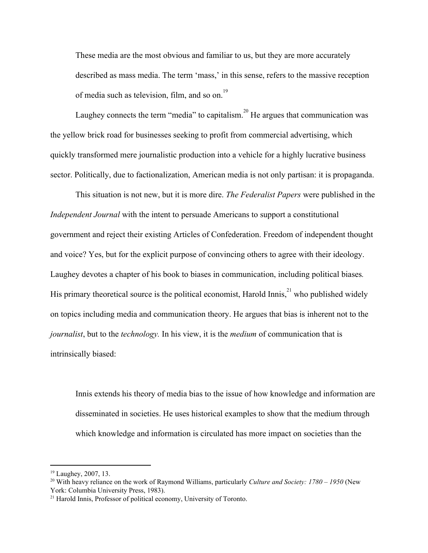These media are the most obvious and familiar to us, but they are more accurately described as mass media. The term 'mass,' in this sense, refers to the massive reception of media such as television, film, and so on.<sup>19</sup>

Laughey connects the term "media" to capitalism.<sup>20</sup> He argues that communication was the yellow brick road for businesses seeking to profit from commercial advertising, which quickly transformed mere journalistic production into a vehicle for a highly lucrative business sector. Politically, due to factionalization, American media is not only partisan: it is propaganda.

This situation is not new, but it is more dire. *The Federalist Papers* were published in the *Independent Journal* with the intent to persuade Americans to support a constitutional government and reject their existing Articles of Confederation. Freedom of independent thought and voice? Yes, but for the explicit purpose of convincing others to agree with their ideology. Laughey devotes a chapter of his book to biases in communication, including political biases*.* His primary theoretical source is the political economist, Harold Innis,  $^{21}$  who published widely on topics including media and communication theory. He argues that bias is inherent not to the *journalist*, but to the *technology.* In his view, it is the *medium* of communication that is intrinsically biased:

Innis extends his theory of media bias to the issue of how knowledge and information are disseminated in societies. He uses historical examples to show that the medium through which knowledge and information is circulated has more impact on societies than the

<sup>19</sup> Laughey, 2007, 13.

<sup>20</sup> With heavy reliance on the work of Raymond Williams, particularly *Culture and Society: 1780 – 1950* (New York: Columbia University Press, 1983).

<sup>21</sup> Harold Innis, Professor of political economy, University of Toronto.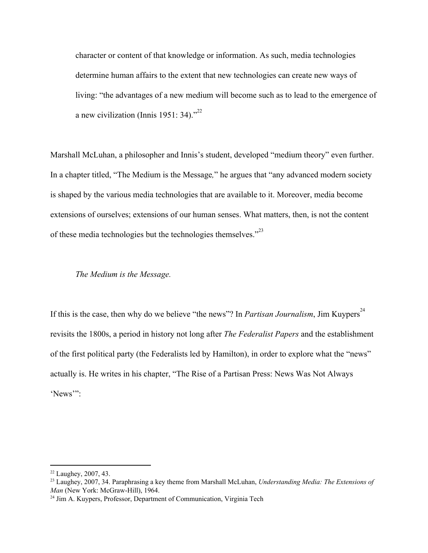character or content of that knowledge or information. As such, media technologies determine human affairs to the extent that new technologies can create new ways of living: "the advantages of a new medium will become such as to lead to the emergence of a new civilization (Innis 1951: 34). $^{22}$ 

Marshall McLuhan, a philosopher and Innis's student, developed "medium theory" even further. In a chapter titled, "The Medium is the Message*,*" he argues that "any advanced modern society is shaped by the various media technologies that are available to it. Moreover, media become extensions of ourselves; extensions of our human senses. What matters, then, is not the content of these media technologies but the technologies themselves."<sup>23</sup>

## *The Medium is the Message.*

If this is the case, then why do we believe "the news"? In *Partisan Journalism*, Jim Kuypers<sup>24</sup> revisits the 1800s, a period in history not long after *The Federalist Papers* and the establishment of the first political party (the Federalists led by Hamilton), in order to explore what the "news" actually is. He writes in his chapter, "The Rise of a Partisan Press: News Was Not Always 'News'":

<sup>22</sup> Laughey, 2007, 43.

<sup>23</sup> Laughey, 2007, 34. Paraphrasing a key theme from Marshall McLuhan, *Understanding Media: The Extensions of Man* (New York: McGraw-Hill), 1964.

<sup>&</sup>lt;sup>24</sup> Jim A. Kuypers, Professor, Department of Communication, Virginia Tech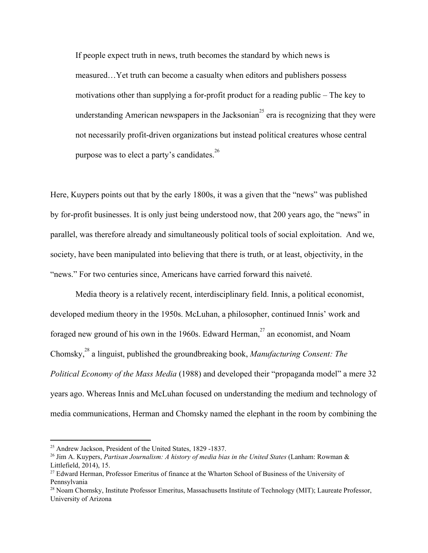If people expect truth in news, truth becomes the standard by which news is measured…Yet truth can become a casualty when editors and publishers possess motivations other than supplying a for-profit product for a reading public – The key to understanding American newspapers in the Jacksonian<sup>25</sup> era is recognizing that they were not necessarily profit-driven organizations but instead political creatures whose central purpose was to elect a party's candidates.<sup>26</sup>

Here, Kuypers points out that by the early 1800s, it was a given that the "news" was published by for-profit businesses. It is only just being understood now, that 200 years ago, the "news" in parallel, was therefore already and simultaneously political tools of social exploitation. And we, society, have been manipulated into believing that there is truth, or at least, objectivity, in the "news." For two centuries since, Americans have carried forward this naiveté.

Media theory is a relatively recent, interdisciplinary field. Innis, a political economist, developed medium theory in the 1950s. McLuhan, a philosopher, continued Innis' work and foraged new ground of his own in the 1960s. Edward Herman, $27$  an economist, and Noam Chomsky,<sup>28</sup> a linguist, published the groundbreaking book, *Manufacturing Consent: The Political Economy of the Mass Media* (1988) and developed their "propaganda model" a mere 32 years ago. Whereas Innis and McLuhan focused on understanding the medium and technology of media communications, Herman and Chomsky named the elephant in the room by combining the

<sup>25</sup> Andrew Jackson, President of the United States, 1829 -1837.

<sup>26</sup> Jim A. Kuypers, *Partisan Journalism: A history of media bias in the United States* (Lanham: Rowman & Littlefield, 2014), 15.

<sup>&</sup>lt;sup>27</sup> Edward Herman, Professor Emeritus of finance at the Wharton School of Business of the University of Pennsylvania

<sup>28</sup> Noam Chomsky, Institute Professor Emeritus, Massachusetts Institute of Technology (MIT); Laureate Professor, University of Arizona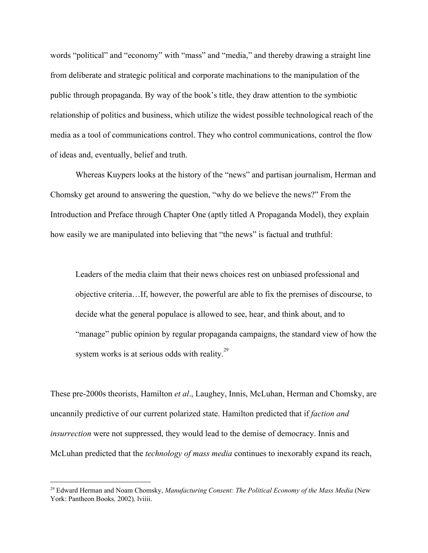words "political" and "economy" with "mass" and "media," and thereby drawing a straight line from deliberate and strategic political and corporate machinations to the manipulation of the public through propaganda. By way of the book's title, they draw attention to the symbiotic relationship of politics and business, which utilize the widest possible technological reach of the media as a tool of communications control. They who control communications, control the flow of ideas and, eventually, belief and truth.

Whereas Kuypers looks at the history of the "news" and partisan journalism, Herman and Chomsky get around to answering the question, "why do we believe the news?" From the Introduction and Preface through Chapter One (aptly titled A Propaganda Model), they explain how easily we are manipulated into believing that "the news" is factual and truthful:

Leaders of the media claim that their news choices rest on unbiased professional and objective criteria…If, however, the powerful are able to fix the premises of discourse, to decide what the general populace is allowed to see, hear, and think about, and to "manage" public opinion by regular propaganda campaigns, the standard view of how the system works is at serious odds with reality.<sup>29</sup>

These pre-2000s theorists, Hamilton *et al*., Laughey, Innis, McLuhan, Herman and Chomsky, are uncannily predictive of our current polarized state. Hamilton predicted that if *faction and insurrection* were not suppressed, they would lead to the demise of democracy. Innis and McLuhan predicted that the *technology of mass media* continues to inexorably expand its reach,

<sup>29</sup> Edward Herman and Noam Chomsky, *Manufacturing Consent: The Political Economy of the Mass Media* (New York: Pantheon Books*,* 2002)*,* lviiii.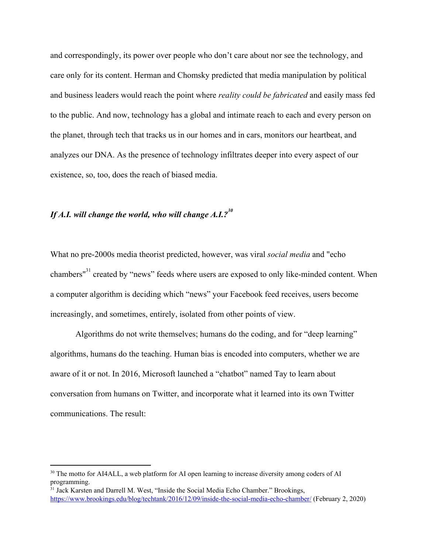and correspondingly, its power over people who don't care about nor see the technology, and care only for its content. Herman and Chomsky predicted that media manipulation by political and business leaders would reach the point where *reality could be fabricated* and easily mass fed to the public. And now, technology has a global and intimate reach to each and every person on the planet, through tech that tracks us in our homes and in cars, monitors our heartbeat, and analyzes our DNA. As the presence of technology infiltrates deeper into every aspect of our existence, so, too, does the reach of biased media.

# If A.I. will change the world, who will change A.I.?<sup>30</sup>

What no pre-2000s media theorist predicted, however, was viral *social media* and "echo chambers" created by "news" feeds where users are exposed to only like-minded content. When a computer algorithm is deciding which "news" your Facebook feed receives, users become increasingly, and sometimes, entirely, isolated from other points of view.

Algorithms do not write themselves; humans do the coding, and for "deep learning" algorithms, humans do the teaching. Human bias is encoded into computers, whether we are aware of it or not. In 2016, Microsoft launched a "chatbot" named Tay to learn about conversation from humans on Twitter, and incorporate what it learned into its own Twitter communications. The result:

<sup>&</sup>lt;sup>30</sup> The motto for AI4ALL, a web platform for AI open learning to increase diversity among coders of AI programming.

<sup>&</sup>lt;sup>31</sup> Jack Karsten and Darrell M. West, "Inside the Social Media Echo Chamber." Brookings, <https://www.brookings.edu/blog/techtank/2016/12/09/inside-the-social-media-echo-chamber/> (February 2, 2020)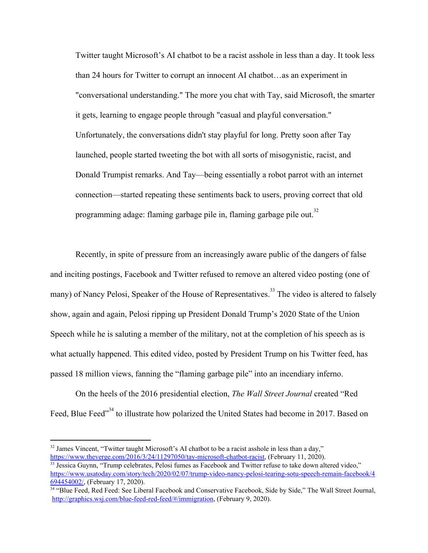Twitter taught Microsoft's AI chatbot to be a racist asshole in less than a day. It took less than 24 hours for Twitter to corrupt an innocent AI chatbot…as an experiment in "conversational understanding." The more you chat with Tay, said Microsoft, the smarter it gets, learning to engage people through "casual and playful conversation." Unfortunately, the conversations didn't stay playful for long. Pretty soon after Tay launched, people started tweeting the bot with all sorts of misogynistic, racist, and Donald Trumpist remarks. And Tay—being essentially a robot parrot with an internet connection—started repeating these sentiments back to users, proving correct that old programming adage: flaming garbage pile in, flaming garbage pile out.<sup>32</sup>

Recently, in spite of pressure from an increasingly aware public of the dangers of false and inciting postings, Facebook and Twitter refused to remove an altered video posting (one of many) of Nancy Pelosi, Speaker of the House of Representatives.<sup>33</sup> The video is altered to falsely show, again and again, Pelosi ripping up President Donald Trump's 2020 State of the Union Speech while he is saluting a member of the military, not at the completion of his speech as is what actually happened. This edited video, posted by President Trump on his Twitter feed, has passed 18 million views, fanning the "flaming garbage pile" into an incendiary inferno.

On the heels of the 2016 presidential election, *The Wall Street Journal* created "Red Feed, Blue Feed"<sup>34</sup> to illustrate how polarized the United States had become in 2017. Based on

<sup>&</sup>lt;sup>32</sup> James Vincent, "Twitter taught Microsoft's AI chatbot to be a racist asshole in less than a day," [https://www.theverge.com/2016/3/24/11297050/tay-microsoft-chatbot-racist,](https://www.theverge.com/2016/3/24/11297050/tay-microsoft-chatbot-racist) (February 11, 2020).

<sup>&</sup>lt;sup>33</sup> Jessica Guynn, "Trump celebrates, Pelosi fumes as Facebook and Twitter refuse to take down altered video." [https://www.usatoday.com/story/tech/2020/02/07/trump-video-nancy-pelosi-tearing-sotu-speech-remain-facebook/4](https://www.usatoday.com/story/tech/2020/02/07/trump-video-nancy-pelosi-tearing-sotu-speech-remain-facebook/4694454002/) [694454002/,](https://www.usatoday.com/story/tech/2020/02/07/trump-video-nancy-pelosi-tearing-sotu-speech-remain-facebook/4694454002/) (February 17, 2020).

<sup>&</sup>lt;sup>34</sup> "Blue Feed, Red Feed: See Liberal Facebook and Conservative Facebook, Side by Side," The Wall Street Journal, <http://graphics.wsj.com/blue-feed-red-feed/#/immigration>, (February 9, 2020).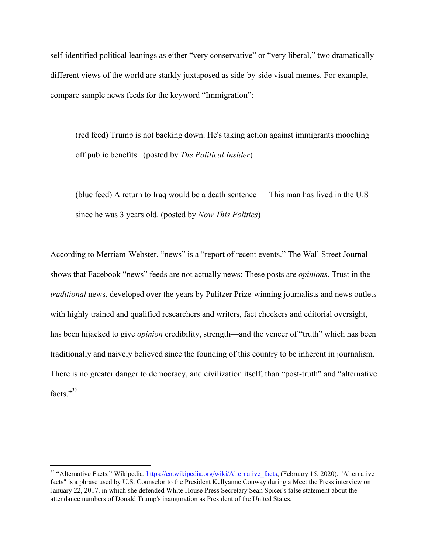self-identified political leanings as either "very conservative" or "very liberal," two dramatically different views of the world are starkly juxtaposed as side-by-side visual memes. For example, compare sample news feeds for the keyword "Immigration":

(red feed) Trump is not backing down. He's taking action against immigrants mooching off public benefits. (posted by *The Political Insider*)

(blue feed) A return to Iraq would be a death sentence — This man has lived in the U.S since he was 3 years old. (posted by *Now This Politics*)

According to Merriam-Webster, "news" is a "report of recent events." The Wall Street Journal shows that Facebook "news" feeds are not actually news: These posts are *opinions*. Trust in the *traditional* news, developed over the years by Pulitzer Prize-winning journalists and news outlets with highly trained and qualified researchers and writers, fact checkers and editorial oversight, has been hijacked to give *opinion* credibility, strength—and the veneer of "truth" which has been traditionally and naively believed since the founding of this country to be inherent in journalism. There is no greater danger to democracy, and civilization itself, than "post-truth" and "alternative facts<sup>"35</sup>

<sup>&</sup>lt;sup>35</sup> "Alternative Facts," Wikipedia, https://en.wikipedia.org/wiki/Alternative facts, (February 15, 2020). "Alternative facts" is a phrase used by U.S. Counselor to the President Kellyanne Conway during a Meet the Press interview on January 22, 2017, in which she defended White House Press Secretary Sean Spicer's false statement about the attendance numbers of Donald Trump's inauguration as President of the United States.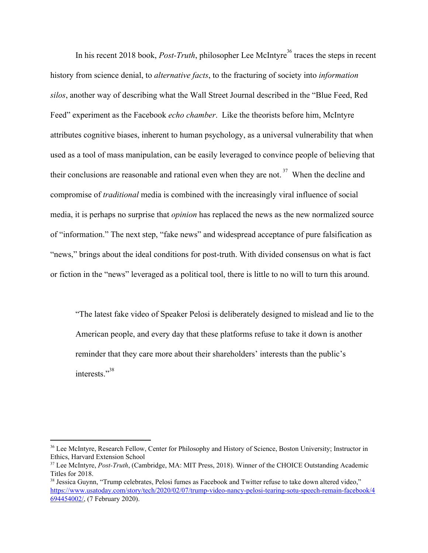In his recent 2018 book, *Post-Truth*, philosopher Lee McIntyre<sup>36</sup> traces the steps in recent history from science denial, to *alternative facts*, to the fracturing of society into *information silos*, another way of describing what the Wall Street Journal described in the "Blue Feed, Red Feed" experiment as the Facebook *echo chamber*. Like the theorists before him, McIntyre attributes cognitive biases, inherent to human psychology, as a universal vulnerability that when used as a tool of mass manipulation, can be easily leveraged to convince people of believing that their conclusions are reasonable and rational even when they are not.<sup>37</sup> When the decline and compromise of *traditional* media is combined with the increasingly viral influence of social media, it is perhaps no surprise that *opinion* has replaced the news as the new normalized source of "information." The next step, "fake news" and widespread acceptance of pure falsification as "news," brings about the ideal conditions for post-truth. With divided consensus on what is fact or fiction in the "news" leveraged as a political tool, there is little to no will to turn this around.

"The latest fake video of Speaker Pelosi is deliberately designed to mislead and lie to the American people, and every day that these platforms refuse to take it down is another reminder that they care more about their shareholders' interests than the public's interests."<sup>38</sup>

<sup>36</sup> Lee McIntyre, Research Fellow, Center for Philosophy and History of Science, Boston University; Instructor in Ethics, Harvard Extension School

<sup>37</sup> Lee McIntyre, *Post-Truth*, (Cambridge, MA: MIT Press, 2018). Winner of the CHOICE Outstanding Academic Titles for 2018.

<sup>&</sup>lt;sup>38</sup> Jessica Guynn, "Trump celebrates, Pelosi fumes as Facebook and Twitter refuse to take down altered video," [https://www.usatoday.com/story/tech/2020/02/07/trump-video-nancy-pelosi-tearing-sotu-speech-remain-facebook/4](https://www.usatoday.com/story/tech/2020/02/07/trump-video-nancy-pelosi-tearing-sotu-speech-remain-facebook/4694454002/) [694454002/,](https://www.usatoday.com/story/tech/2020/02/07/trump-video-nancy-pelosi-tearing-sotu-speech-remain-facebook/4694454002/) (7 February 2020).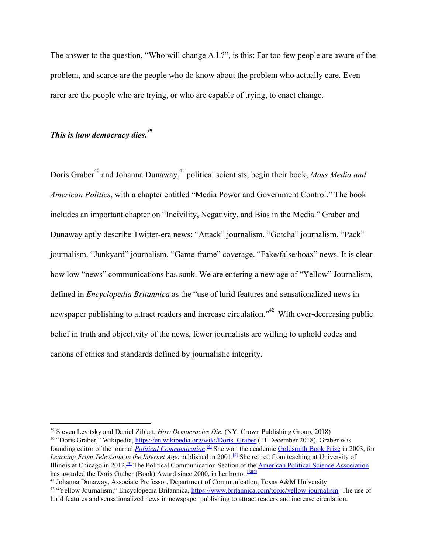The answer to the question, "Who will change A.I.?", is this: Far too few people are aware of the problem, and scarce are the people who do know about the problem who actually care. Even rarer are the people who are trying, or who are capable of trying, to enact change.

## *This is how democracy dies.<sup>39</sup>*

Doris Graber<sup>40</sup> and Johanna Dunaway,<sup>41</sup> political scientists, begin their book, *Mass Media and American Politics*, with a chapter entitled "Media Power and Government Control." The book includes an important chapter on "Incivility, Negativity, and Bias in the Media." Graber and Dunaway aptly describe Twitter-era news: "Attack" journalism. "Gotcha" journalism. "Pack" journalism. "Junkyard" journalism. "Game-frame" coverage. "Fake/false/hoax" news. It is clear how low "news" communications has sunk. We are entering a new age of "Yellow" Journalism, defined in *Encyclopedia Britannica* as the "use of lurid features and sensationalized news in newspaper publishing to attract readers and increase circulation.<sup>"42</sup> With ever-decreasing public belief in truth and objectivity of the news, fewer journalists are willing to uphold codes and canons of ethics and standards defined by journalistic integrity.

<sup>39</sup> Steven Levitsky and Daniel Ziblatt, *How Democracies Die*, (NY: Crown Publishing Group, 2018) <sup>40</sup> "Doris Graber," Wikipedia, [https://en.wikipedia.org/wiki/Doris\\_Graber](https://en.wikipedia.org/wiki/Doris_Graber) (11 December 2018). Graber was founding editor of the journal *Political [Communication](https://en.wikipedia.org/wiki/Political_Communication_(journal))*. [\[4\]](https://en.wikipedia.org/wiki/Doris_Graber#cite_note-centpolicom-4) She won the academic [Goldsmith](https://en.wikipedia.org/wiki/Goldsmith_Book_Prize) Book Prize in 2003, for *Learning From Television in the Internet Age*, published in 2001. [\[5\]](https://en.wikipedia.org/wiki/Doris_Graber#cite_note-encycpolicom-5) She retired from teaching at University of Illinois at Chicago in 2012.<sup>[1]</sup> The Political Communication Section of the <u>American Political Science [Association](https://en.wikipedia.org/wiki/American_Political_Science_Association)</u> has awarded the Doris Graber (Book) Award since 2000, in her honor.<sup>[\[6\]](https://en.wikipedia.org/wiki/Doris_Graber#cite_note-6)[\[7\]](https://en.wikipedia.org/wiki/Doris_Graber#cite_note-7)</sup>

<sup>41</sup> Johanna Dunaway, Associate Professor, Department of Communication, Texas A&M University <sup>42</sup> "Yellow Journalism," Encyclopedia Britannica, <https://www.britannica.com/topic/yellow-journalism>. The use of lurid features and sensationalized news in newspaper publishing to attract readers and increase circulation.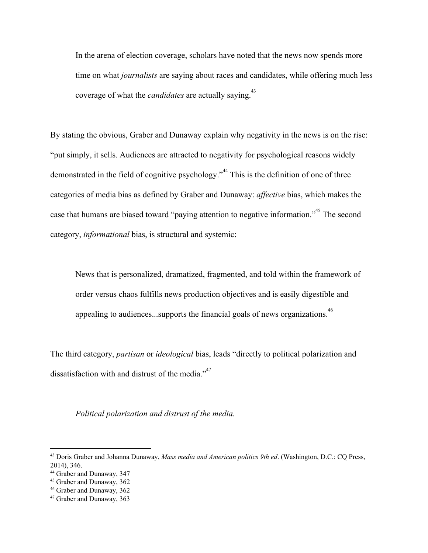In the arena of election coverage, scholars have noted that the news now spends more time on what *journalists* are saying about races and candidates, while offering much less coverage of what the *candidates* are actually saying.<sup>43</sup>

By stating the obvious, Graber and Dunaway explain why negativity in the news is on the rise: "put simply, it sells. Audiences are attracted to negativity for psychological reasons widely demonstrated in the field of cognitive psychology.<sup> $44$ </sup> This is the definition of one of three categories of media bias as defined by Graber and Dunaway: *affective* bias, which makes the case that humans are biased toward "paying attention to negative information."<sup>45</sup> The second category, *informational* bias, is structural and systemic:

News that is personalized, dramatized, fragmented, and told within the framework of order versus chaos fulfills news production objectives and is easily digestible and appealing to audiences...supports the financial goals of news organizations.<sup>46</sup>

The third category, *partisan* or *ideological* bias, leads "directly to political polarization and dissatisfaction with and distrust of the media. $^{47}$ 

*Political polarization and distrust of the media.*

<sup>43</sup> Doris Graber and Johanna Dunaway, *Mass media and American politics 9th ed*. (Washington, D.C.: CQ Press, 2014), 346.

<sup>44</sup> Graber and Dunaway, 347

<sup>45</sup> Graber and Dunaway, 362

<sup>46</sup> Graber and Dunaway, 362

<sup>47</sup> Graber and Dunaway, 363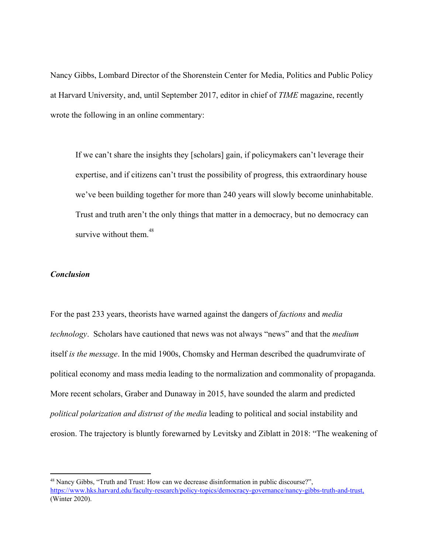Nancy Gibbs, Lombard Director of the Shorenstein Center for Media, Politics and Public Policy at Harvard University, and, until September 2017, editor in chief of *TIME* magazine, recently wrote the following in an online commentary:

If we can't share the insights they [scholars] gain, if policymakers can't leverage their expertise, and if citizens can't trust the possibility of progress, this extraordinary house we've been building together for more than 240 years will slowly become uninhabitable. Trust and truth aren't the only things that matter in a democracy, but no democracy can survive without them.<sup>48</sup>

## *Conclusion*

For the past 233 years, theorists have warned against the dangers of *factions* and *media technology*. Scholars have cautioned that news was not always "news" and that the *medium* itself *is the message*. In the mid 1900s, Chomsky and Herman described the quadrumvirate of political economy and mass media leading to the normalization and commonality of propaganda. More recent scholars, Graber and Dunaway in 2015, have sounded the alarm and predicted *political polarization and distrust of the media* leading to political and social instability and erosion. The trajectory is bluntly forewarned by Levitsky and Ziblatt in 2018: "The weakening of

<sup>48</sup> Nancy Gibbs, "Truth and Trust: How can we decrease disinformation in public discourse?", <https://www.hks.harvard.edu/faculty-research/policy-topics/democracy-governance/nancy-gibbs-truth-and-trust>, (Winter 2020).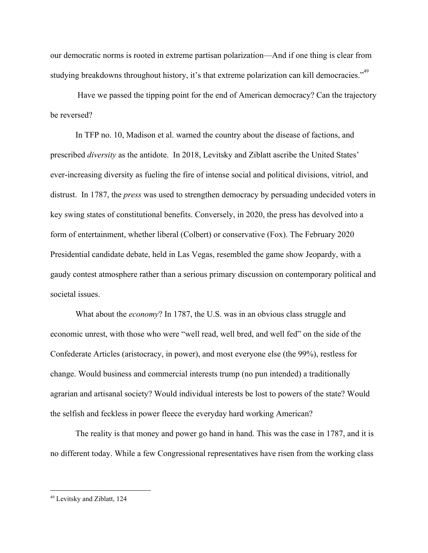our democratic norms is rooted in extreme partisan polarization—And if one thing is clear from studying breakdowns throughout history, it's that extreme polarization can kill democracies."<sup>49</sup>

 Have we passed the tipping point for the end of American democracy? Can the trajectory be reversed?

In TFP no. 10, Madison et al. warned the country about the disease of factions, and prescribed *diversity* as the antidote. In 2018, Levitsky and Ziblatt ascribe the United States' ever-increasing diversity as fueling the fire of intense social and political divisions, vitriol, and distrust. In 1787, the *press* was used to strengthen democracy by persuading undecided voters in key swing states of constitutional benefits. Conversely, in 2020, the press has devolved into a form of entertainment, whether liberal (Colbert) or conservative (Fox). The February 2020 Presidential candidate debate, held in Las Vegas, resembled the game show Jeopardy, with a gaudy contest atmosphere rather than a serious primary discussion on contemporary political and societal issues.

What about the *economy*? In 1787, the U.S. was in an obvious class struggle and economic unrest, with those who were "well read, well bred, and well fed" on the side of the Confederate Articles (aristocracy, in power), and most everyone else (the 99%), restless for change. Would business and commercial interests trump (no pun intended) a traditionally agrarian and artisanal society? Would individual interests be lost to powers of the state? Would the selfish and feckless in power fleece the everyday hard working American?

The reality is that money and power go hand in hand. This was the case in 1787, and it is no different today. While a few Congressional representatives have risen from the working class

<sup>49</sup> Levitsky and Ziblatt, 124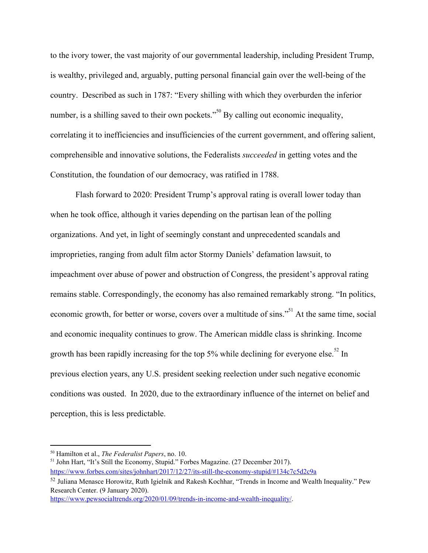to the ivory tower, the vast majority of our governmental leadership, including President Trump, is wealthy, privileged and, arguably, putting personal financial gain over the well-being of the country. Described as such in 1787: "Every shilling with which they overburden the inferior number, is a shilling saved to their own pockets.<sup> $50$ </sup> By calling out economic inequality, correlating it to inefficiencies and insufficiencies of the current government, and offering salient, comprehensible and innovative solutions, the Federalists *succeeded* in getting votes and the Constitution, the foundation of our democracy, was ratified in 1788.

Flash forward to 2020: President Trump's approval rating is overall lower today than when he took office, although it varies depending on the partisan lean of the polling organizations. And yet, in light of seemingly constant and unprecedented scandals and improprieties, ranging from adult film actor Stormy Daniels' defamation lawsuit, to impeachment over abuse of power and obstruction of Congress, the president's approval rating remains stable. Correspondingly, the economy has also remained remarkably strong. "In politics, economic growth, for better or worse, covers over a multitude of sins."<sup>51</sup> At the same time, social and economic inequality continues to grow. The American middle class is shrinking. Income growth has been rapidly increasing for the top 5% while declining for everyone else.<sup>52</sup> In previous election years, any U.S. president seeking reelection under such negative economic conditions was ousted. In 2020, due to the extraordinary influence of the internet on belief and perception, this is less predictable.

<sup>50</sup> Hamilton et al., *The Federalist Papers*, no. 10.

<sup>51</sup> John Hart, "It's Still the Economy, Stupid." Forbes Magazine. (27 December 2017).

<https://www.forbes.com/sites/johnhart/2017/12/27/its-still-the-economy-stupid/#134c7c5d2c9a>

<sup>52</sup> Juliana Menasce Horowitz, Ruth Igielnik and Rakesh Kochhar, "Trends in Income and Wealth Inequality." Pew Research Center. (9 January 2020).

<https://www.pewsocialtrends.org/2020/01/09/trends-in-income-and-wealth-inequality/>.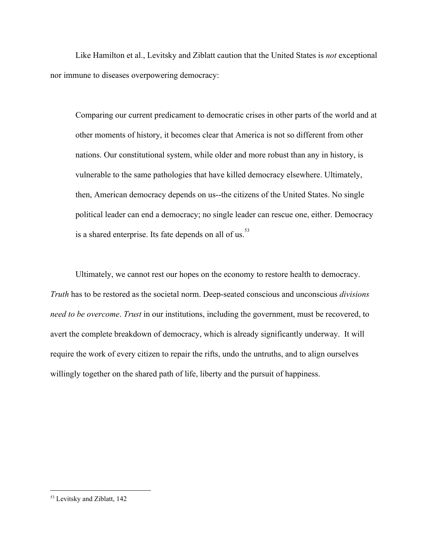Like Hamilton et al., Levitsky and Ziblatt caution that the United States is *not* exceptional nor immune to diseases overpowering democracy:

Comparing our current predicament to democratic crises in other parts of the world and at other moments of history, it becomes clear that America is not so different from other nations. Our constitutional system, while older and more robust than any in history, is vulnerable to the same pathologies that have killed democracy elsewhere. Ultimately, then, American democracy depends on us--the citizens of the United States. No single political leader can end a democracy; no single leader can rescue one, either. Democracy is a shared enterprise. Its fate depends on all of us.<sup>53</sup>

Ultimately, we cannot rest our hopes on the economy to restore health to democracy. *Truth* has to be restored as the societal norm. Deep-seated conscious and unconscious *divisions need to be overcome*. *Trust* in our institutions, including the government, must be recovered, to avert the complete breakdown of democracy, which is already significantly underway. It will require the work of every citizen to repair the rifts, undo the untruths, and to align ourselves willingly together on the shared path of life, liberty and the pursuit of happiness.

<sup>53</sup> Levitsky and Ziblatt, 142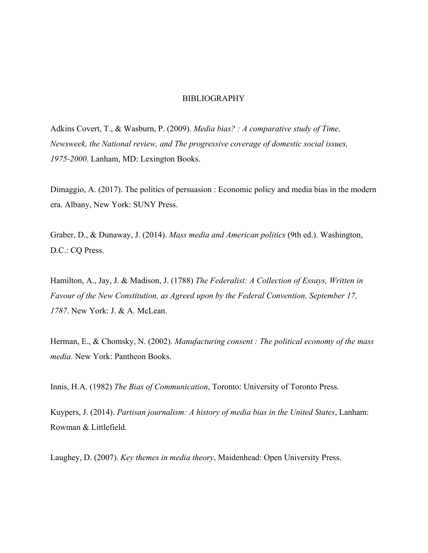#### BIBLIOGRAPHY

Adkins Covert, T., & Wasburn, P. (2009). *Media bias? : A comparative study of Time, Newsweek, the National review, and The progressive coverage of domestic social issues, 1975-2000*. Lanham, MD: Lexington Books.

Dimaggio, A. (2017). The politics of persuasion : Economic policy and media bias in the modern era. Albany, New York: SUNY Press.

Graber, D., & Dunaway, J. (2014). *Mass media and American politics* (9th ed.). Washington, D.C.: CQ Press.

Hamilton, A., Jay, J. & Madison, J. (1788) *The Federalist: A Collection of Essays, Written in Favour of the New Constitution, as Agreed upon by the Federal Convention, September 17, 1787*. New York: J. & A. McLean.

Herman, E., & Chomsky, N. (2002). *Manufacturing consent : The political economy of the mass media*. New York: Pantheon Books.

Innis, H.A. (1982) *The Bias of Communication*, Toronto: University of Toronto Press.

Kuypers, J. (2014). *Partisan journalism: A history of media bias in the United States*, Lanham: Rowman & Littlefield.

Laughey, D. (2007). *Key themes in media theory*, Maidenhead: Open University Press.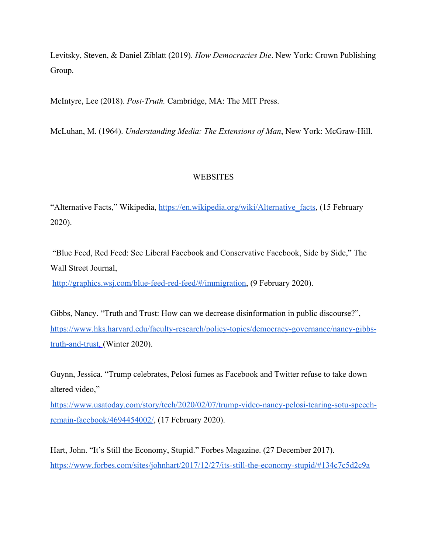Levitsky, Steven, & Daniel Ziblatt (2019). *How Democracies Die*. New York: Crown Publishing Group.

McIntyre, Lee (2018). *Post-Truth.* Cambridge, MA: The MIT Press.

McLuhan, M. (1964). *Understanding Media: The Extensions of Man*, New York: McGraw-Hill.

## **WEBSITES**

"Alternative Facts," Wikipedia, https://en.wikipedia.org/wiki/Alternative facts, (15 February 2020).

 "Blue Feed, Red Feed: See Liberal Facebook and Conservative Facebook, Side by Side," The Wall Street Journal,

<http://graphics.wsj.com/blue-feed-red-feed/#/immigration>, (9 February 2020).

Gibbs, Nancy. "Truth and Trust: How can we decrease disinformation in public discourse?", [https://www.hks.harvard.edu/faculty-research/policy-topics/democracy-governance/nancy-gibbs](https://www.hks.harvard.edu/faculty-research/policy-topics/democracy-governance/nancy-gibbs-truth-and-trust)[truth-and-trust](https://www.hks.harvard.edu/faculty-research/policy-topics/democracy-governance/nancy-gibbs-truth-and-trust), (Winter 2020).

Guynn, Jessica. "Trump celebrates, Pelosi fumes as Facebook and Twitter refuse to take down altered video,["](https://www.usatoday.com/story/tech/2020/02/07/trump-video-nancy-pelosi-tearing-sotu-speech-remain-facebook/4694454002/)

[https://www.usatoday.com/story/tech/2020/02/07/trump-video-nancy-pelosi-tearing-sotu-speech](https://www.usatoday.com/story/tech/2020/02/07/trump-video-nancy-pelosi-tearing-sotu-speech-remain-facebook/4694454002/)[remain-facebook/4694454002/,](https://www.usatoday.com/story/tech/2020/02/07/trump-video-nancy-pelosi-tearing-sotu-speech-remain-facebook/4694454002/) (17 February 2020).

Hart, John. "It's Still the Economy, Stupid." Forbes Magazine. (27 December 2017). <https://www.forbes.com/sites/johnhart/2017/12/27/its-still-the-economy-stupid/#134c7c5d2c9a>